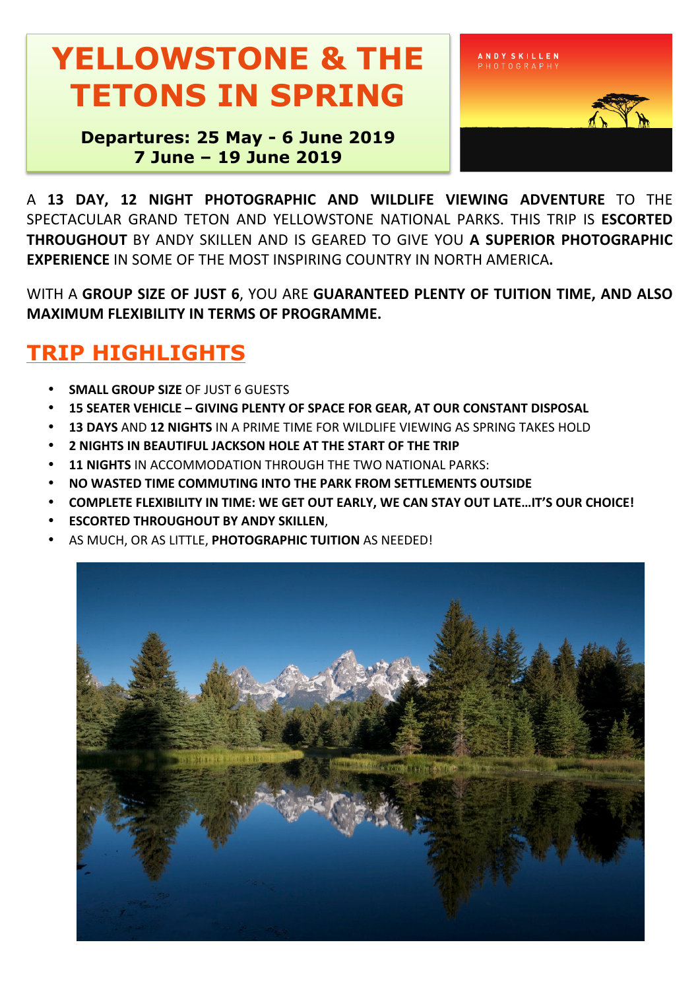## **YELLOWSTONE & THE TETONS IN SPRING**

**Departures: 25 May - 6 June 2019 7 June – 19 June 2019**



A **13 DAY, 12 NIGHT PHOTOGRAPHIC AND WILDLIFE VIEWING ADVENTURE** TO THE SPECTACULAR GRAND TETON AND YELLOWSTONE NATIONAL PARKS. THIS TRIP IS **ESCORTED THROUGHOUT** BY ANDY SKILLEN AND IS GEARED TO GIVE YOU A SUPERIOR PHOTOGRAPHIC **EXPERIENCE** IN SOME OF THE MOST INSPIRING COUNTRY IN NORTH AMERICA.

WITH A GROUP SIZE OF JUST 6, YOU ARE GUARANTEED PLENTY OF TUITION TIME, AND ALSO **MAXIMUM FLEXIBILITY IN TERMS OF PROGRAMME.** 

### **TRIP HIGHLIGHTS**

- **SMALL GROUP SIZE OF JUST 6 GUESTS**
- **15 SEATER VEHICLE – GIVING PLENTY OF SPACE FOR GEAR, AT OUR CONSTANT DISPOSAL**
- **13 DAYS** AND **12 NIGHTS** IN A PRIME TIME FOR WILDLIFE VIEWING AS SPRING TAKES HOLD
- **2 NIGHTS IN BEAUTIFUL JACKSON HOLE AT THE START OF THE TRIP**
- **11 NIGHTS** IN ACCOMMODATION THROUGH THE TWO NATIONAL PARKS:
- **NO WASTED TIME COMMUTING INTO THE PARK FROM SETTLEMENTS OUTSIDE**
- COMPLETE FLEXIBILITY IN TIME: WE GET OUT EARLY, WE CAN STAY OUT LATE...IT'S OUR CHOICE!
- **ESCORTED THROUGHOUT BY ANDY SKILLEN,**
- AS MUCH, OR AS LITTLE, PHOTOGRAPHIC TUITION AS NEEDED!

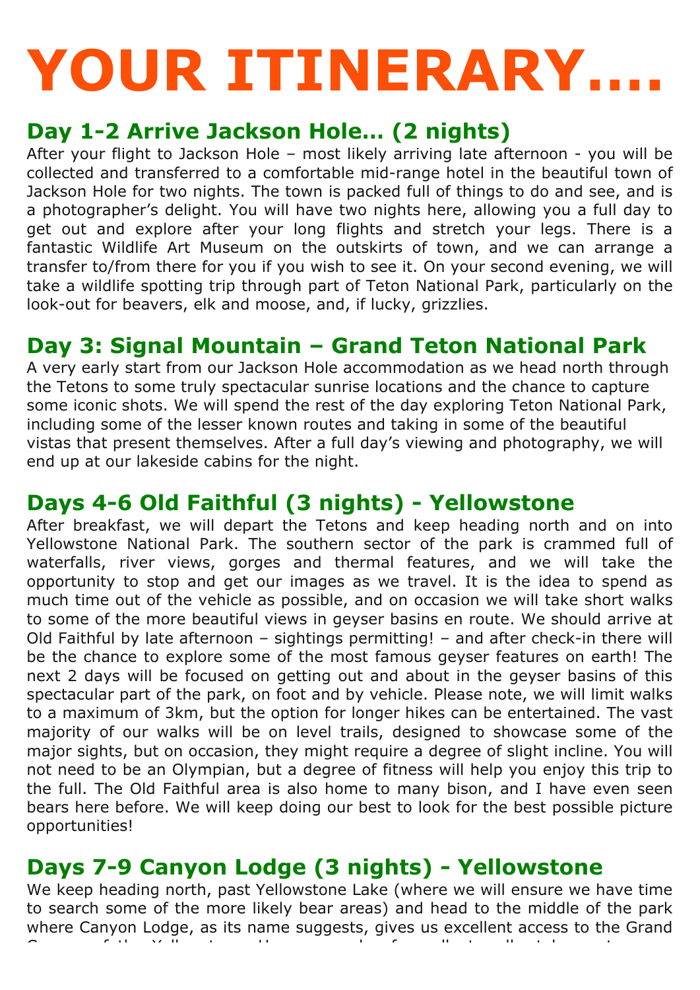# **YOUR ITINERARY….**

#### **Day 1-2 Arrive Jackson Hole… (2 nights)**

After your flight to Jackson Hole – most likely arriving late afternoon - you will be collected and transferred to a comfortable mid-range hotel in the beautiful town of Jackson Hole for two nights. The town is packed full of things to do and see, and is a photographer's delight. You will have two nights here, allowing you a full day to get out and explore after your long flights and stretch your legs. There is a fantastic Wildlife Art Museum on the outskirts of town, and we can arrange a transfer to/from there for you if you wish to see it. On your second evening, we will take a wildlife spotting trip through part of Teton National Park, particularly on the look-out for beavers, elk and moose, and, if lucky, grizzlies.

#### **Day 3: Signal Mountain – Grand Teton National Park**

A very early start from our Jackson Hole accommodation as we head north through the Tetons to some truly spectacular sunrise locations and the chance to capture some iconic shots. We will spend the rest of the day exploring Teton National Park, including some of the lesser known routes and taking in some of the beautiful vistas that present themselves. After a full day's viewing and photography, we will end up at our lakeside cabins for the night.

#### **Days 4-6 Old Faithful (3 nights) - Yellowstone**

After breakfast, we will depart the Tetons and keep heading north and on into Yellowstone National Park. The southern sector of the park is crammed full of waterfalls, river views, gorges and thermal features, and we will take the opportunity to stop and get our images as we travel. It is the idea to spend as much time out of the vehicle as possible, and on occasion we will take short walks to some of the more beautiful views in geyser basins en route. We should arrive at Old Faithful by late afternoon – sightings permitting! – and after check-in there will be the chance to explore some of the most famous geyser features on earth! The next 2 days will be focused on getting out and about in the geyser basins of this spectacular part of the park, on foot and by vehicle. Please note, we will limit walks to a maximum of 3km, but the option for longer hikes can be entertained. The vast majority of our walks will be on level trails, designed to showcase some of the major sights, but on occasion, they might require a degree of slight incline. You will not need to be an Olympian, but a degree of fitness will help you enjoy this trip to the full. The Old Faithful area is also home to many bison, and I have even seen bears here before. We will keep doing our best to look for the best possible picture opportunities!

#### **Days 7-9 Canyon Lodge (3 nights) - Yellowstone**

We keep heading north, past Yellowstone Lake (where we will ensure we have time to search some of the more likely bear areas) and head to the middle of the park where Canyon Lodge, as its name suggests, gives us excellent access to the Grand Canyon of the Yellowstone. Here a couple of excellent walks take us to some use the some use of excellent walks take us to some use of the some use of excellent walks to some use of the some use of the some use of the some